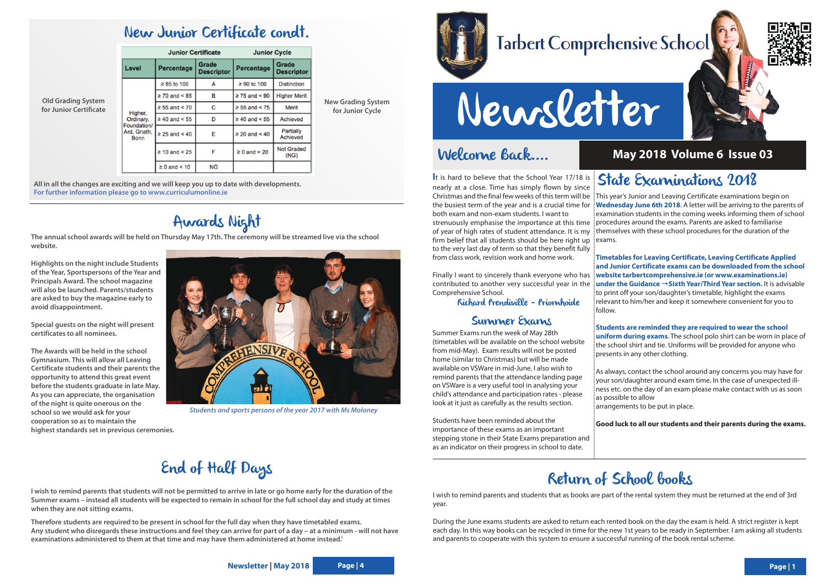### Welcome Back....

# Newsletter

contributed to another very successful year in the Comprehensive School.

Richard Prendiville - Príomhoide

### Summer Exams

Christmas and the final few weeks of this term will be This year's Junior and Leaving Certificate examinations begin on the busiest term of the year and is a crucial time for **Wednesday June 6th 2018**. A letter will be arriving to the parents of strenuously emphasise the importance at this time | procedures around the exams. Parents are asked to familiarise of year of high rates of student attendance. It is my ithemselves with these school procedures for the duration of the examination students in the coming weeks informing them of school

**I**t is hard to believe that the School Year 17/18 is nearly at a close. Time has simply flown by since both exam and non-exam students. I want to firm belief that all students should be here right up to the very last day of term so that they benefit fully from class work, revision work and home work. exams.

Summer Exams run the week of May 28th (timetables will be available on the school website from mid-May). Exam results will not be posted home (similar to Christmas) but will be made available on VSWare in mid-June. I also wish to remind parents that the attendance landing page on VSWare is a very useful tool in analysing your child's attendance and participation rates - please look at it just as carefully as the results section.

Finally I want to sincerely thank everyone who has i**website tarbertcomprehensive.ie (or www.examinations.ie) Timetables for Leaving Certificate, Leaving Certificate Applied and Junior Certificate exams can be downloaded from the school under the Guidance →Sixth Year/Third Year section.** It is advisable  $\frac{1}{5}$  to print off your son/daughter's timetable, highlight the exams relevant to him/her and keep it somewhere convenient for you to

Students have been reminded about the importance of these exams as an important stepping stone in their State Exams preparation and as an indicator on their progress in school to date.



### State Examinations 2018

follow.

**Students are reminded they are required to wear the school uniform during exams**. The school polo shirt can be worn in place of the school shirt and tie. Uniforms will be provided for anyone who presents in any other clothing.

As always, contact the school around any concerns you may have for your son/daughter around exam time. In the case of unexpected illness etc. on the day of an exam please make contact with us as soon as possible to allow

arrangements to be put in place.

**Good luck to all our students and their parents during the exams.**

### **May 2018 Volume 6 Issue 03**



## **Tarbert Comprehensive School**

### Return of School books

I wish to remind parents and students that as books are part of the rental system they must be returned at the end of 3rd year.

During the June exams students are asked to return each rented book on the day the exam is held. A strict register is kept each day. In this way books can be recycled in time for the new 1st years to be ready in September. I am asking all students and parents to cooperate with this system to ensure a successful running of the book rental scheme.





### New Junior Certificate condt.

| <b>Junior Certificate</b>                                  |                    |                            | <b>Junior Cycle</b>     |                            |
|------------------------------------------------------------|--------------------|----------------------------|-------------------------|----------------------------|
| Level                                                      | Percentage         | Grade<br><b>Descriptor</b> | Percentage              | Grade<br><b>Descriptor</b> |
| Higher.<br>Ordinary,<br>Foundation/<br>Ard, Gnath,<br>Bonn | $\geq 85$ to 100   | A                          | $\geq 90$ to 100        | <b>Distinction</b>         |
|                                                            | $\geq$ 70 and < 85 | B                          | $\geq$ 75 and < 90      | <b>Higher Merit</b>        |
|                                                            | $\geq 55$ and < 70 | C                          | $\geq 55$ and < 75      | Merit                      |
|                                                            | $\geq 40$ and < 55 | D                          | $\geq 40$ and < 55      | Achieved                   |
|                                                            | $\geq$ 25 and < 40 | E                          | $\geq 20$ and $\leq 40$ | Partially<br>Achieved      |
|                                                            | $\geq 10$ and < 25 | F                          | $\geq 0$ and < 20       | <b>Not Graded</b><br>(NG)  |
|                                                            | $\geq 0$ and < 10  | <b>NG</b>                  |                         |                            |

**All in all the changes are exciting and we will keep you up to date with developments. For further information please go to www.curriculumonline.ie**

### Awards Night

**The annual school awards will be held on Thursday May 17th. The ceremony will be streamed live via the school website.**

**Highlights on the night include Students of the Year, Sportspersons of the Year and Principals Award. The school magazine will also be launched. Parents/students are asked to buy the magazine early to avoid disappointment.** 

**Special guests on the night will present certificates to all nominees.**

**The Awards will be held in the school Gymnasium. This will allow all Leaving Certificate students and their parents the opportunity to attend this great event before the students graduate in late May. As you can appreciate, the organisation of the night is quite onerous on the school so we would ask for your cooperation so as to maintain the highest standards set in previous ceremonies.**



### End of Half Days

**I wish to remind parents that students will not be permitted to arrive in late or go home early for the duration of the Summer exams – instead all students will be expected to remain in school for the full school day and study at times when they are not sitting exams.**

**Therefore students are required to be present in school for the full day when they have timetabled exams. Any student who disregards these instructions and feel they can arrive for part of a day – at a minimum - will not have examinations administered to them at that time and may have them administered at home instead.'**

**Old Grading System for Junior Certificate** **New Grading System for Junior Cycle**

**Students and sports persons of the year 2017 with Ms Moloney**